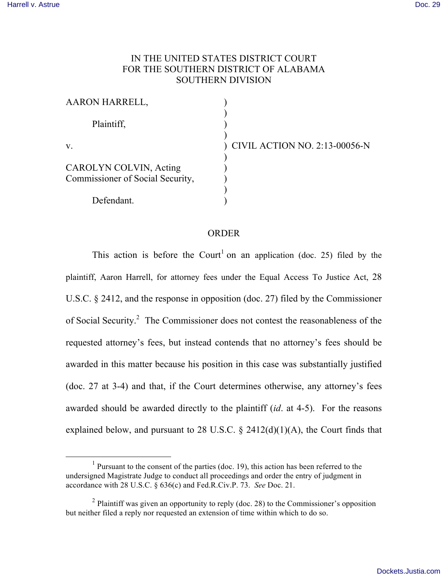# IN THE UNITED STATES DISTRICT COURT FOR THE SOUTHERN DISTRICT OF ALABAMA SOUTHERN DIVISION

| AARON HARRELL,                                             |                                 |
|------------------------------------------------------------|---------------------------------|
| Plaintiff,                                                 |                                 |
| $V_{\rm}$                                                  | ) CIVIL ACTION NO. 2:13-00056-N |
| CAROLYN COLVIN, Acting<br>Commissioner of Social Security, |                                 |
| Defendant.                                                 |                                 |

### ORDER

This action is before the Court<sup>1</sup> on an application (doc. 25) filed by the plaintiff, Aaron Harrell, for attorney fees under the Equal Access To Justice Act, 28 U.S.C. § 2412, and the response in opposition (doc. 27) filed by the Commissioner of Social Security. <sup>2</sup> The Commissioner does not contest the reasonableness of the requested attorney's fees, but instead contends that no attorney's fees should be awarded in this matter because his position in this case was substantially justified (doc. 27 at 3-4) and that, if the Court determines otherwise, any attorney's fees awarded should be awarded directly to the plaintiff (*id*. at 4-5). For the reasons explained below, and pursuant to 28 U.S.C.  $\S$  2412(d)(1)(A), the Court finds that

 $1$  Pursuant to the consent of the parties (doc. 19), this action has been referred to the undersigned Magistrate Judge to conduct all proceedings and order the entry of judgment in accordance with 28 U.S.C. § 636(c) and Fed.R.Civ.P. 73. *See* Doc. 21.

<sup>&</sup>lt;sup>2</sup> Plaintiff was given an opportunity to reply (doc. 28) to the Commissioner's opposition but neither filed a reply nor requested an extension of time within which to do so.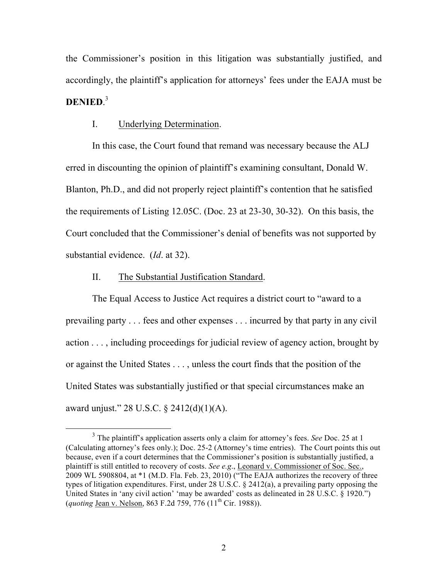the Commissioner's position in this litigation was substantially justified, and accordingly, the plaintiff's application for attorneys' fees under the EAJA must be **DENIED**. 3

## I. Underlying Determination.

In this case, the Court found that remand was necessary because the ALJ erred in discounting the opinion of plaintiff's examining consultant, Donald W. Blanton, Ph.D., and did not properly reject plaintiff's contention that he satisfied the requirements of Listing 12.05C. (Doc. 23 at 23-30, 30-32). On this basis, the Court concluded that the Commissioner's denial of benefits was not supported by substantial evidence. (*Id*. at 32).

### II. The Substantial Justification Standard.

The Equal Access to Justice Act requires a district court to "award to a prevailing party . . . fees and other expenses . . . incurred by that party in any civil action . . . , including proceedings for judicial review of agency action, brought by or against the United States . . . , unless the court finds that the position of the United States was substantially justified or that special circumstances make an award unjust." 28 U.S.C. § 2412(d)(1)(A).

 <sup>3</sup> The plaintiff's application asserts only a claim for attorney's fees. *See* Doc. 25 at 1 (Calculating attorney's fees only.); Doc. 25-2 (Attorney's time entries). The Court points this out because, even if a court determines that the Commissioner's position is substantially justified, a plaintiff is still entitled to recovery of costs. *See e.g*., Leonard v. Commissioner of Soc. Sec., 2009 WL 5908804, at \*1 (M.D. Fla. Feb. 23, 2010) ("The EAJA authorizes the recovery of three types of litigation expenditures. First, under 28 U.S.C. § 2412(a), a prevailing party opposing the United States in 'any civil action' 'may be awarded' costs as delineated in 28 U.S.C. § 1920.") (*quoting* Jean v. Nelson, 863 F.2d 759, 776 (11<sup>th</sup> Cir. 1988)).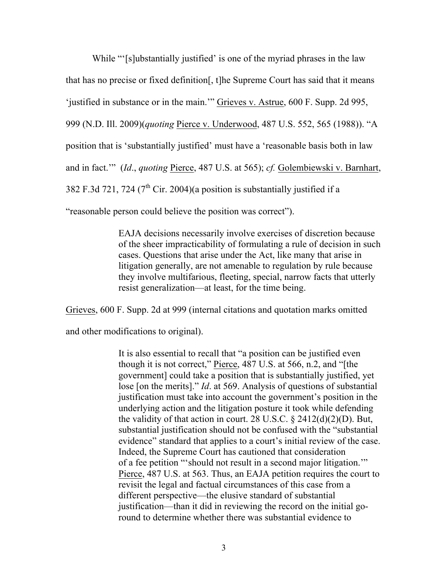While "'[s]ubstantially justified' is one of the myriad phrases in the law that has no precise or fixed definition[, t]he Supreme Court has said that it means 'justified in substance or in the main.'" Grieves v. Astrue, 600 F. Supp. 2d 995, 999 (N.D. Ill. 2009)(*quoting* Pierce v. Underwood, 487 U.S. 552, 565 (1988)). "A position that is 'substantially justified' must have a 'reasonable basis both in law and in fact.'" (*Id*., *quoting* Pierce, 487 U.S. at 565); *cf.* Golembiewski v. Barnhart, 382 F.3d 721, 724 ( $7<sup>th</sup>$  Cir. 2004)(a position is substantially justified if a

"reasonable person could believe the position was correct").

EAJA decisions necessarily involve exercises of discretion because of the sheer impracticability of formulating a rule of decision in such cases. Questions that arise under the Act, like many that arise in litigation generally, are not amenable to regulation by rule because they involve multifarious, fleeting, special, narrow facts that utterly resist generalization—at least, for the time being.

Grieves, 600 F. Supp. 2d at 999 (internal citations and quotation marks omitted

and other modifications to original).

It is also essential to recall that "a position can be justified even though it is not correct," Pierce, 487 U.S. at 566, n.2, and "[the government] could take a position that is substantially justified, yet lose [on the merits]." *Id*. at 569. Analysis of questions of substantial justification must take into account the government's position in the underlying action and the litigation posture it took while defending the validity of that action in court. 28 U.S.C.  $\S$  2412(d)(2)(D). But, substantial justification should not be confused with the "substantial evidence" standard that applies to a court's initial review of the case. Indeed, the Supreme Court has cautioned that consideration of a fee petition "'should not result in a second major litigation.'" Pierce, 487 U.S. at 563. Thus, an EAJA petition requires the court to revisit the legal and factual circumstances of this case from a different perspective—the elusive standard of substantial justification—than it did in reviewing the record on the initial goround to determine whether there was substantial evidence to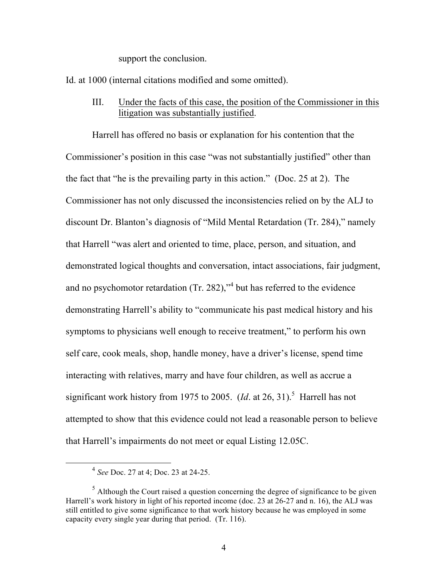support the conclusion.

Id. at 1000 (internal citations modified and some omitted).

III. Under the facts of this case, the position of the Commissioner in this litigation was substantially justified.

Harrell has offered no basis or explanation for his contention that the Commissioner's position in this case "was not substantially justified" other than the fact that "he is the prevailing party in this action." (Doc. 25 at 2). The Commissioner has not only discussed the inconsistencies relied on by the ALJ to discount Dr. Blanton's diagnosis of "Mild Mental Retardation (Tr. 284)," namely that Harrell "was alert and oriented to time, place, person, and situation, and demonstrated logical thoughts and conversation, intact associations, fair judgment, and no psychomotor retardation (Tr. 282),"<sup>4</sup> but has referred to the evidence demonstrating Harrell's ability to "communicate his past medical history and his symptoms to physicians well enough to receive treatment," to perform his own self care, cook meals, shop, handle money, have a driver's license, spend time interacting with relatives, marry and have four children, as well as accrue a significant work history from 1975 to 2005.  $(Id.$  at 26, 31).<sup>5</sup> Harrell has not attempted to show that this evidence could not lead a reasonable person to believe that Harrell's impairments do not meet or equal Listing 12.05C.

 <sup>4</sup> *See* Doc. 27 at 4; Doc. 23 at 24-25.

<sup>&</sup>lt;sup>5</sup> Although the Court raised a question concerning the degree of significance to be given Harrell's work history in light of his reported income (doc. 23 at 26-27 and n. 16), the ALJ was still entitled to give some significance to that work history because he was employed in some capacity every single year during that period. (Tr. 116).